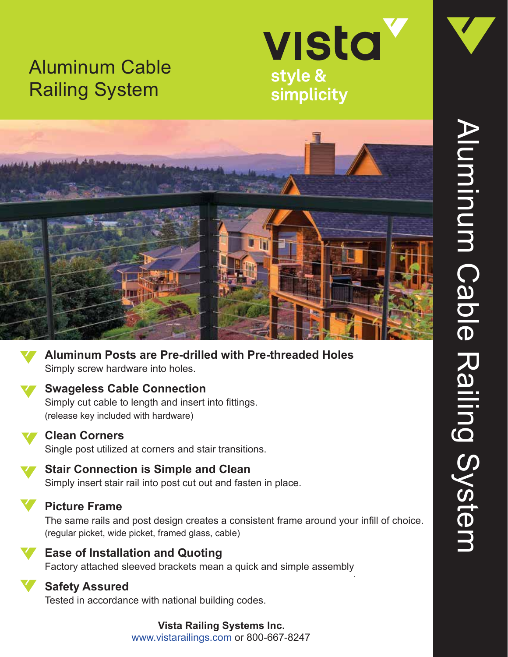



simplicity





**Aluminum Posts are Pre-drilled with Pre-threaded Holes** Simply screw hardware into holes.

### **Swageless Cable Connection**

Simply cut cable to length and insert into fittings. (release key included with hardware)



#### **Clean Corners**

Single post utilized at corners and stair transitions.



### **Stair Connection is Simple and Clean**

Simply insert stair rail into post cut out and fasten in place.



# **Picture Frame**

The same rails and post design creates a consistent frame around your infill of choice. (regular picket, wide picket, framed glass, cable)



### **Ease of Installation and Quoting**

Factory attached sleeved brackets mean a quick and simple assembly.



## **Safety Assured**

Tested in accordance with national building codes.

#### **Vista Railing Systems Inc.** www.vistarailings.com or 800-667-8247